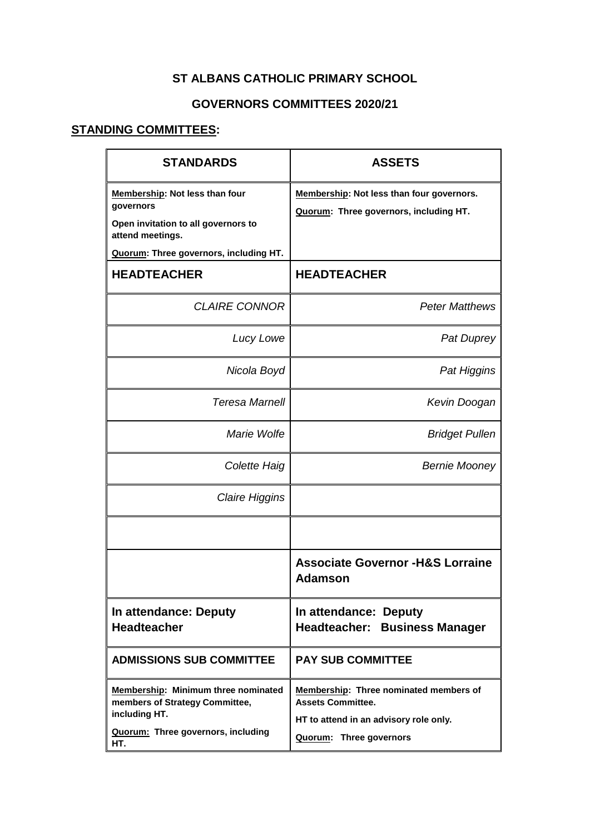## **ST ALBANS CATHOLIC PRIMARY SCHOOL**

## **GOVERNORS COMMITTEES 2020/21**

## **STANDING COMMITTEES:**

| <b>STANDARDS</b>                                                                                                                                        | <b>ASSETS</b>                                                                                                                           |
|---------------------------------------------------------------------------------------------------------------------------------------------------------|-----------------------------------------------------------------------------------------------------------------------------------------|
| <b>Membership: Not less than four</b><br>governors<br>Open invitation to all governors to<br>attend meetings.<br>Quorum: Three governors, including HT. | Membership: Not less than four governors.<br>Quorum: Three governors, including HT.                                                     |
| <b>HEADTEACHER</b>                                                                                                                                      | <b>HEADTEACHER</b>                                                                                                                      |
| <b>CLAIRE CONNOR</b>                                                                                                                                    | <b>Peter Matthews</b>                                                                                                                   |
| Lucy Lowe                                                                                                                                               | <b>Pat Duprey</b>                                                                                                                       |
| Nicola Boyd                                                                                                                                             | Pat Higgins                                                                                                                             |
| <b>Teresa Marnell</b>                                                                                                                                   | Kevin Doogan                                                                                                                            |
| Marie Wolfe                                                                                                                                             | <b>Bridget Pullen</b>                                                                                                                   |
| Colette Haig                                                                                                                                            | <b>Bernie Mooney</b>                                                                                                                    |
| <b>Claire Higgins</b>                                                                                                                                   |                                                                                                                                         |
|                                                                                                                                                         |                                                                                                                                         |
|                                                                                                                                                         | <b>Associate Governor -H&amp;S Lorraine</b><br><b>Adamson</b>                                                                           |
| In attendance: Deputy<br><b>Headteacher</b>                                                                                                             | In attendance: Deputy<br><b>Headteacher: Business Manager</b>                                                                           |
| <b>ADMISSIONS SUB COMMITTEE</b>                                                                                                                         | <b>PAY SUB COMMITTEE</b>                                                                                                                |
| Membership: Minimum three nominated<br>members of Strategy Committee,<br>including HT.<br>Quorum: Three governors, including<br>HT.                     | Membership: Three nominated members of<br><b>Assets Committee.</b><br>HT to attend in an advisory role only.<br>Quorum: Three governors |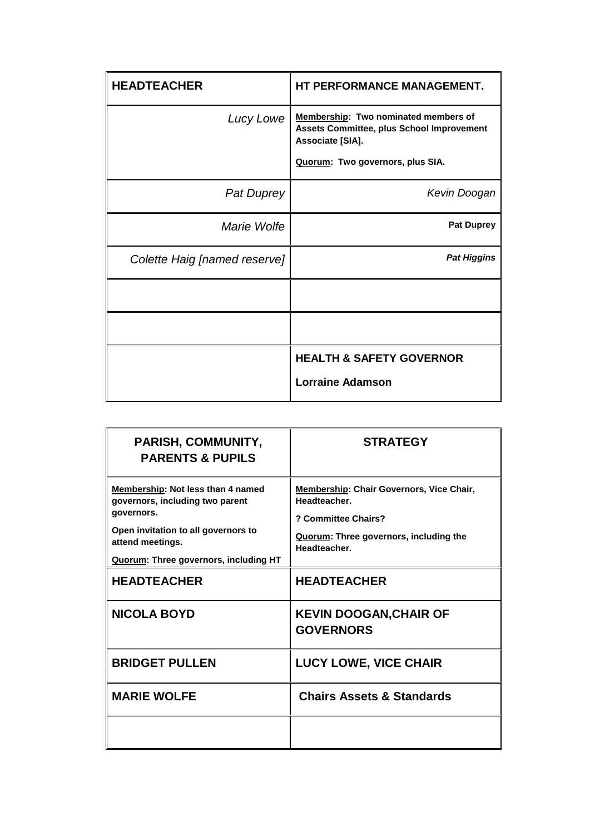| <b>HEADTEACHER</b>           | HT PERFORMANCE MANAGEMENT.                                                                                   |
|------------------------------|--------------------------------------------------------------------------------------------------------------|
| Lucy Lowe                    | Membership: Two nominated members of<br><b>Assets Committee, plus School Improvement</b><br>Associate [SIA]. |
|                              | Quorum: Two governors, plus SIA.                                                                             |
| <b>Pat Duprey</b>            | Kevin Doogan                                                                                                 |
| Marie Wolfe                  | <b>Pat Duprey</b>                                                                                            |
| Colette Haig [named reserve] | <b>Pat Higgins</b>                                                                                           |
|                              |                                                                                                              |
|                              |                                                                                                              |
|                              | <b>HEALTH &amp; SAFETY GOVERNOR</b>                                                                          |
|                              | <b>Lorraine Adamson</b>                                                                                      |

| PARISH, COMMUNITY,<br><b>PARENTS &amp; PUPILS</b>                                                                                                                                             | <b>STRATEGY</b>                                                                                                                           |
|-----------------------------------------------------------------------------------------------------------------------------------------------------------------------------------------------|-------------------------------------------------------------------------------------------------------------------------------------------|
| Membership: Not less than 4 named<br>governors, including two parent<br>governors.<br>Open invitation to all governors to<br>attend meetings.<br><b>Quorum: Three governors, including HT</b> | Membership: Chair Governors, Vice Chair,<br>Headteacher.<br>? Committee Chairs?<br>Quorum: Three governors, including the<br>Headteacher. |
| <b>HEADTEACHER</b>                                                                                                                                                                            | <b>HEADTEACHER</b>                                                                                                                        |
| <b>NICOLA BOYD</b>                                                                                                                                                                            | <b>KEVIN DOOGAN, CHAIR OF</b><br><b>GOVERNORS</b>                                                                                         |
| <b>BRIDGET PULLEN</b>                                                                                                                                                                         | <b>LUCY LOWE, VICE CHAIR</b>                                                                                                              |
| <b>MARIE WOLFE</b>                                                                                                                                                                            | <b>Chairs Assets &amp; Standards</b>                                                                                                      |
|                                                                                                                                                                                               |                                                                                                                                           |